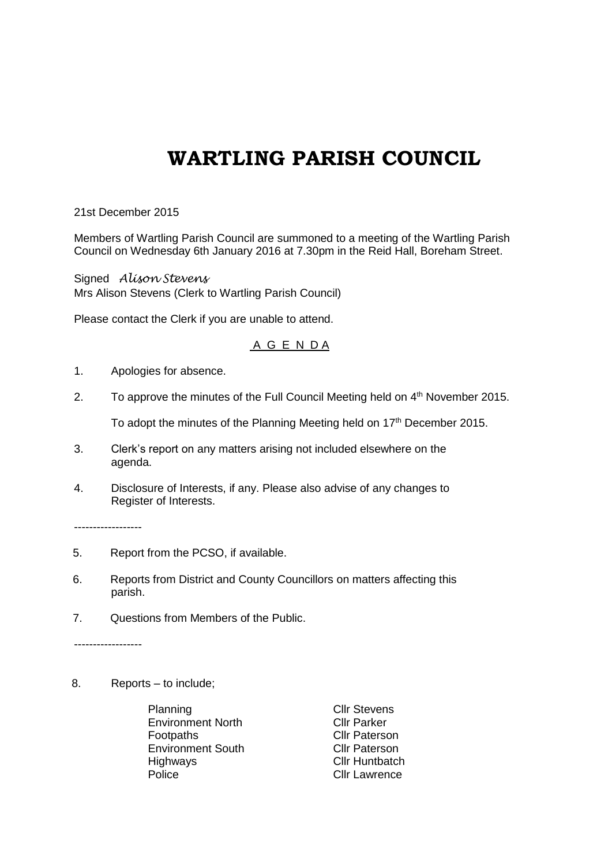## **WARTLING PARISH COUNCIL**

21st December 2015

Members of Wartling Parish Council are summoned to a meeting of the Wartling Parish Council on Wednesday 6th January 2016 at 7.30pm in the Reid Hall, Boreham Street.

Signed *Alison Stevens* Mrs Alison Stevens (Clerk to Wartling Parish Council)

Please contact the Clerk if you are unable to attend.

## A G E N D A

- 1. Apologies for absence.
- 2. To approve the minutes of the Full Council Meeting held on 4<sup>th</sup> November 2015.

To adopt the minutes of the Planning Meeting held on 17<sup>th</sup> December 2015.

- 3. Clerk's report on any matters arising not included elsewhere on the agenda.
- 4. Disclosure of Interests, if any. Please also advise of any changes to Register of Interests.

------------------

- 5. Report from the PCSO, if available.
- 6. Reports from District and County Councillors on matters affecting this parish.
- 7. Questions from Members of the Public.

------------------

8. Reports – to include;

Planning Clir Stevens Environment North Cllr Parker Footpaths **Cllr** Paterson Environment South Cllr Paterson<br>
Highways Cllr Huntbatch Police **Cllr** Lawrence

Cllr Huntbatch